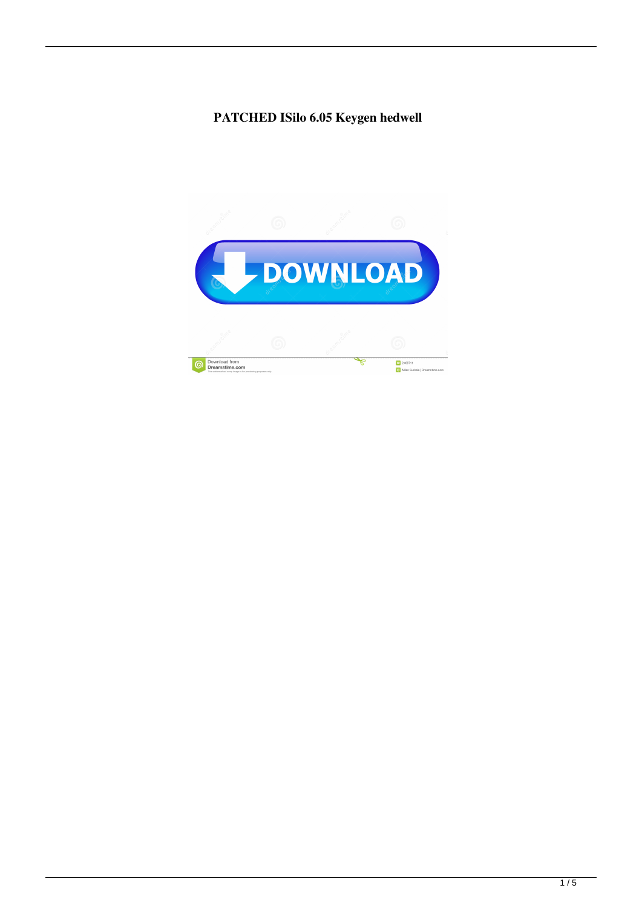## PATCHED ISilo 6.05 Keygen hedwell

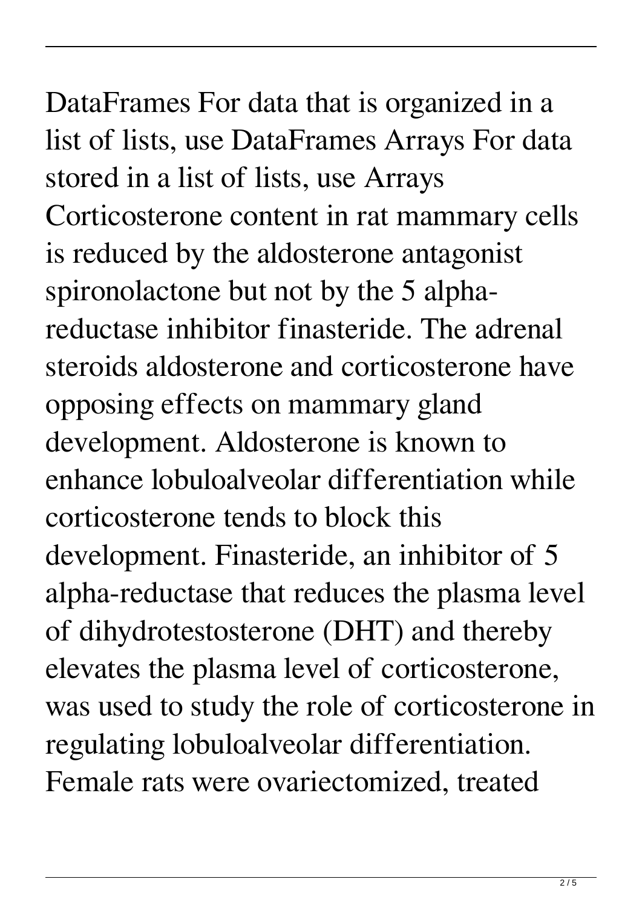DataFrames For data that is organized in a list of lists, use DataFrames Arrays For data stored in a list of lists, use Arrays Corticosterone content in rat mammary cells is reduced by the aldosterone antagonist spironolactone but not by the 5 alphareductase inhibitor finasteride. The adrenal steroids aldosterone and corticosterone have opposing effects on mammary gland development. Aldosterone is known to enhance lobuloalveolar differentiation while corticosterone tends to block this development. Finasteride, an inhibitor of 5 alpha-reductase that reduces the plasma level of dihydrotestosterone (DHT) and thereby elevates the plasma level of corticosterone, was used to study the role of corticosterone in regulating lobuloalveolar differentiation. Female rats were ovariectomized, treated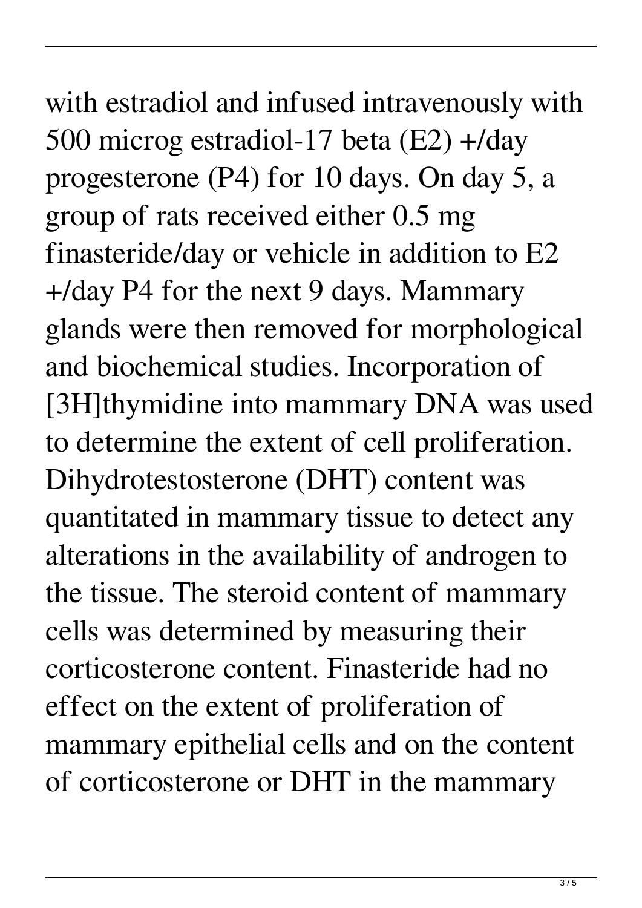with estradiol and infused intravenously with 500 microg estradiol-17 beta (E2) +/day progesterone (P4) for 10 days. On day 5, a group of rats received either 0.5 mg finasteride/day or vehicle in addition to E2 +/day P4 for the next 9 days. Mammary glands were then removed for morphological and biochemical studies. Incorporation of [3H]thymidine into mammary DNA was used to determine the extent of cell proliferation. Dihydrotestosterone (DHT) content was quantitated in mammary tissue to detect any alterations in the availability of androgen to the tissue. The steroid content of mammary cells was determined by measuring their corticosterone content. Finasteride had no effect on the extent of proliferation of mammary epithelial cells and on the content of corticosterone or DHT in the mammary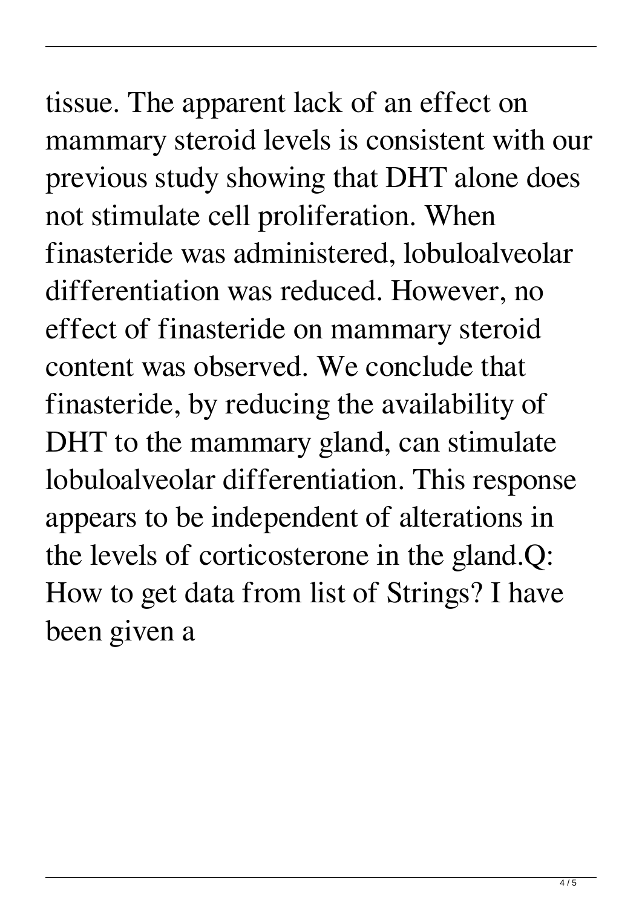## tissue. The apparent lack of an effect on mammary steroid levels is consistent with our previous study showing that DHT alone does not stimulate cell proliferation. When finasteride was administered, lobuloalveolar differentiation was reduced. However, no effect of finasteride on mammary steroid content was observed. We conclude that finasteride, by reducing the availability of DHT to the mammary gland, can stimulate lobuloalveolar differentiation. This response appears to be independent of alterations in the levels of corticosterone in the gland.Q: How to get data from list of Strings? I have

been given a